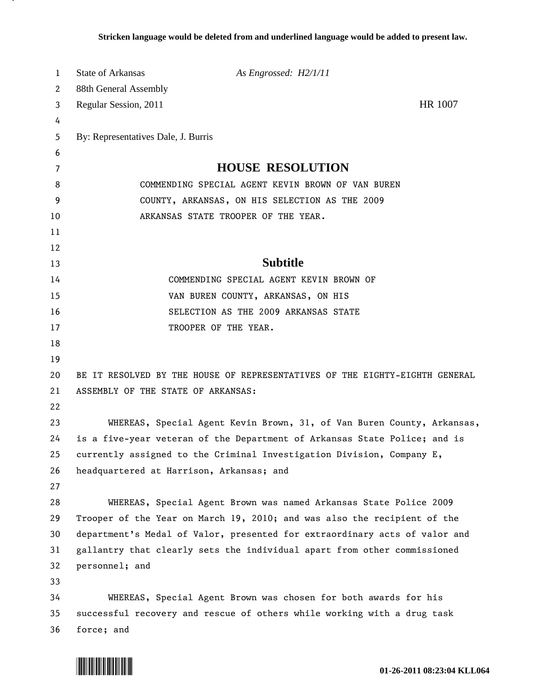| 1        | <b>State of Arkansas</b>                                                    | As Engrossed: H2/1/11                                                                                             |         |
|----------|-----------------------------------------------------------------------------|-------------------------------------------------------------------------------------------------------------------|---------|
| 2        | 88th General Assembly                                                       |                                                                                                                   |         |
| 3        | Regular Session, 2011                                                       |                                                                                                                   | HR 1007 |
| 4        |                                                                             |                                                                                                                   |         |
| 5        | By: Representatives Dale, J. Burris                                         |                                                                                                                   |         |
| 6        |                                                                             |                                                                                                                   |         |
| 7        |                                                                             | <b>HOUSE RESOLUTION</b>                                                                                           |         |
| 8        | COMMENDING SPECIAL AGENT KEVIN BROWN OF VAN BUREN                           |                                                                                                                   |         |
| 9        | COUNTY, ARKANSAS, ON HIS SELECTION AS THE 2009                              |                                                                                                                   |         |
| 10       |                                                                             | ARKANSAS STATE TROOPER OF THE YEAR.                                                                               |         |
| 11       |                                                                             |                                                                                                                   |         |
| 12       |                                                                             |                                                                                                                   |         |
| 13       |                                                                             | <b>Subtitle</b>                                                                                                   |         |
| 14       |                                                                             | COMMENDING SPECIAL AGENT KEVIN BROWN OF                                                                           |         |
| 15       |                                                                             | VAN BUREN COUNTY, ARKANSAS, ON HIS                                                                                |         |
| 16       |                                                                             | SELECTION AS THE 2009 ARKANSAS STATE                                                                              |         |
| 17       |                                                                             | TROOPER OF THE YEAR.                                                                                              |         |
| 18       |                                                                             |                                                                                                                   |         |
| 19       |                                                                             |                                                                                                                   |         |
| 20       | BE IT RESOLVED BY THE HOUSE OF REPRESENTATIVES OF THE EIGHTY-EIGHTH GENERAL |                                                                                                                   |         |
| 21       | ASSEMBLY OF THE STATE OF ARKANSAS:                                          |                                                                                                                   |         |
| 22       |                                                                             |                                                                                                                   |         |
| 23       |                                                                             | WHEREAS, Special Agent Kevin Brown, 31, of Van Buren County, Arkansas,                                            |         |
| 24       |                                                                             | is a five-year veteran of the Department of Arkansas State Police; and is                                         |         |
| 25<br>26 |                                                                             | currently assigned to the Criminal Investigation Division, Company E,<br>headquartered at Harrison, Arkansas; and |         |
| 27       |                                                                             |                                                                                                                   |         |
| 28       |                                                                             | WHEREAS, Special Agent Brown was named Arkansas State Police 2009                                                 |         |
| 29       |                                                                             | Trooper of the Year on March 19, 2010; and was also the recipient of the                                          |         |
| 30       |                                                                             | department's Medal of Valor, presented for extraordinary acts of valor and                                        |         |
| 31       |                                                                             | gallantry that clearly sets the individual apart from other commissioned                                          |         |
| 32       | personnel; and                                                              |                                                                                                                   |         |
| 33       |                                                                             |                                                                                                                   |         |
| 34       |                                                                             | WHEREAS, Special Agent Brown was chosen for both awards for his                                                   |         |
| 35       |                                                                             | successful recovery and rescue of others while working with a drug task                                           |         |
| 36       | force; and                                                                  |                                                                                                                   |         |